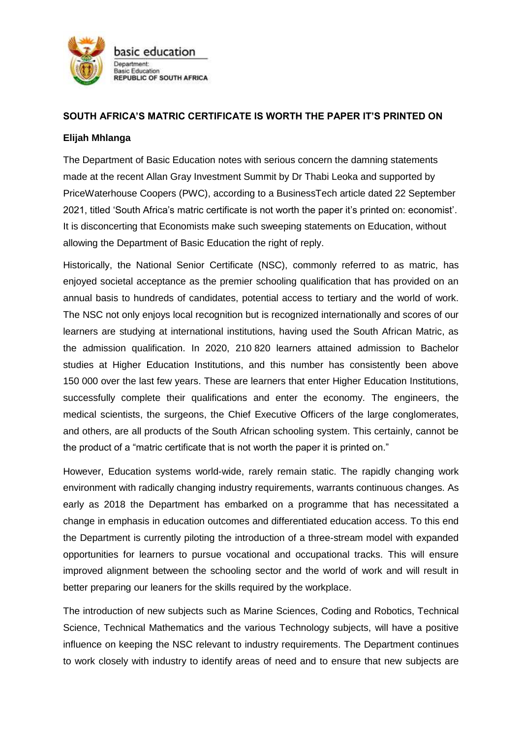

## **SOUTH AFRICA'S MATRIC CERTIFICATE IS WORTH THE PAPER IT'S PRINTED ON**

## **Elijah Mhlanga**

The Department of Basic Education notes with serious concern the damning statements made at the recent Allan Gray Investment Summit by Dr Thabi Leoka and supported by PriceWaterhouse Coopers (PWC), according to a BusinessTech article dated 22 September 2021, titled 'South Africa's matric certificate is not worth the paper it's printed on: economist'. It is disconcerting that Economists make such sweeping statements on Education, without allowing the Department of Basic Education the right of reply.

Historically, the National Senior Certificate (NSC), commonly referred to as matric, has enjoyed societal acceptance as the premier schooling qualification that has provided on an annual basis to hundreds of candidates, potential access to tertiary and the world of work. The NSC not only enjoys local recognition but is recognized internationally and scores of our learners are studying at international institutions, having used the South African Matric, as the admission qualification. In 2020, 210 820 learners attained admission to Bachelor studies at Higher Education Institutions, and this number has consistently been above 150 000 over the last few years. These are learners that enter Higher Education Institutions, successfully complete their qualifications and enter the economy. The engineers, the medical scientists, the surgeons, the Chief Executive Officers of the large conglomerates, and others, are all products of the South African schooling system. This certainly, cannot be the product of a "matric certificate that is not worth the paper it is printed on."

However, Education systems world-wide, rarely remain static. The rapidly changing work environment with radically changing industry requirements, warrants continuous changes. As early as 2018 the Department has embarked on a programme that has necessitated a change in emphasis in education outcomes and differentiated education access. To this end the Department is currently piloting the introduction of a three-stream model with expanded opportunities for learners to pursue vocational and occupational tracks. This will ensure improved alignment between the schooling sector and the world of work and will result in better preparing our leaners for the skills required by the workplace.

The introduction of new subjects such as Marine Sciences, Coding and Robotics, Technical Science, Technical Mathematics and the various Technology subjects, will have a positive influence on keeping the NSC relevant to industry requirements. The Department continues to work closely with industry to identify areas of need and to ensure that new subjects are